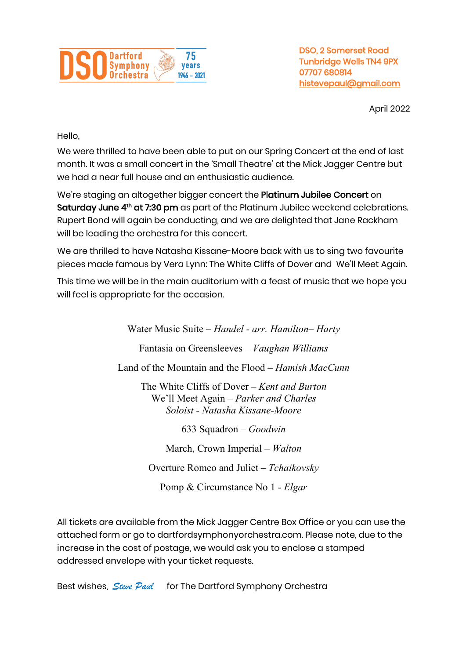

DSO, 2 Somerset Road Tunbridge Wells TN4 9PX 07707 680814 histevepaul@gmail.com

April 2022

Hello,

We were thrilled to have been able to put on our Spring Concert at the end of last month. It was a small concert in the 'Small Theatre' at the Mick Jagger Centre but we had a near full house and an enthusiastic audience.

We're staging an altogether bigger concert the Platinum Jubilee Concert on Saturday June 4<sup>th</sup> at 7:30 pm as part of the Platinum Jubilee weekend celebrations. Rupert Bond will again be conducting, and we are delighted that Jane Rackham will be leading the orchestra for this concert.

We are thrilled to have Natasha Kissane-Moore back with us to sing two favourite pieces made famous by Vera Lynn: The White Cliffs of Dover and We'll Meet Again.

This time we will be in the main auditorium with a feast of music that we hope you will feel is appropriate for the occasion.

> Water Music Suite – *Handel - arr. Hamilton– Harty* Fantasia on Greensleeves – *Vaughan Williams* Land of the Mountain and the Flood – *Hamish MacCunn* The White Cliffs of Dover – *Kent and Burton* We'll Meet Again – *Parker and Charles Soloist - Natasha Kissane-Moore* 633 Squadron – *Goodwin* March, Crown Imperial – *Walton* Overture Romeo and Juliet – *Tchaikovsky* Pomp & Circumstance No 1 - *Elgar*

All tickets are available from the Mick Jagger Centre Box Office or you can use the attached form or go to dartfordsymphonyorchestra.com. Please note, due to the increase in the cost of postage, we would ask you to enclose a stamped addressed envelope with your ticket requests.

Best wishes, *Steve Paul* for The Dartford Symphony Orchestra